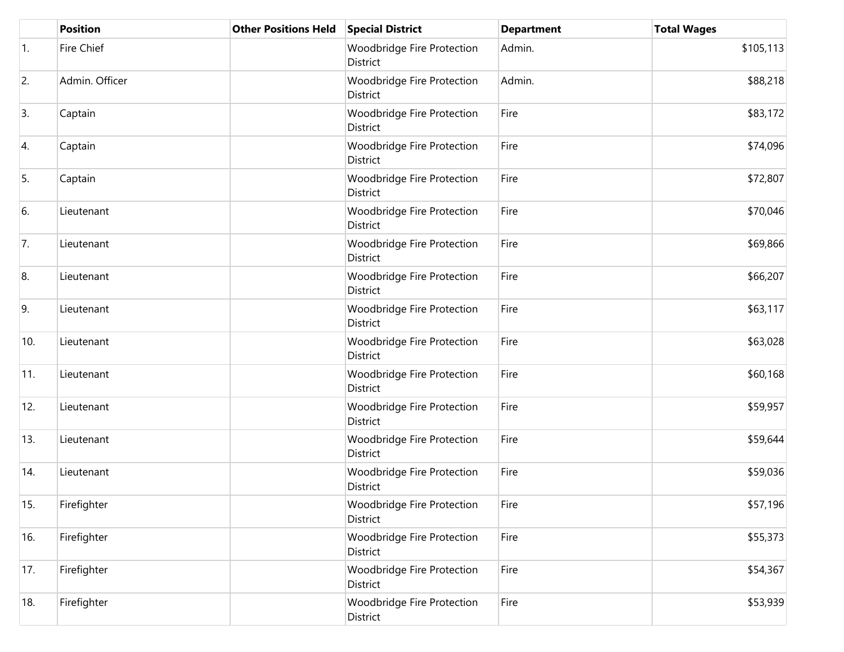|     | <b>Position</b> | <b>Other Positions Held</b> | <b>Special District</b>                | <b>Department</b> | <b>Total Wages</b> |
|-----|-----------------|-----------------------------|----------------------------------------|-------------------|--------------------|
| 1.  | Fire Chief      |                             | Woodbridge Fire Protection<br>District | Admin.            | \$105,113          |
| 2.  | Admin. Officer  |                             | Woodbridge Fire Protection<br>District | Admin.            | \$88,218           |
| 3.  | Captain         |                             | Woodbridge Fire Protection<br>District | Fire              | \$83,172           |
| 4.  | Captain         |                             | Woodbridge Fire Protection<br>District | Fire              | \$74,096           |
| 5.  | Captain         |                             | Woodbridge Fire Protection<br>District | Fire              | \$72,807           |
| 6.  | Lieutenant      |                             | Woodbridge Fire Protection<br>District | Fire              | \$70,046           |
| 7.  | Lieutenant      |                             | Woodbridge Fire Protection<br>District | Fire              | \$69,866           |
| 8.  | Lieutenant      |                             | Woodbridge Fire Protection<br>District | Fire              | \$66,207           |
| 9.  | Lieutenant      |                             | Woodbridge Fire Protection<br>District | Fire              | \$63,117           |
| 10. | Lieutenant      |                             | Woodbridge Fire Protection<br>District | Fire              | \$63,028           |
| 11. | Lieutenant      |                             | Woodbridge Fire Protection<br>District | Fire              | \$60,168           |
| 12. | Lieutenant      |                             | Woodbridge Fire Protection<br>District | Fire              | \$59,957           |
| 13. | Lieutenant      |                             | Woodbridge Fire Protection<br>District | Fire              | \$59,644           |
| 14. | Lieutenant      |                             | Woodbridge Fire Protection<br>District | Fire              | \$59,036           |
| 15. | Firefighter     |                             | Woodbridge Fire Protection<br>District | Fire              | \$57,196           |
| 16. | Firefighter     |                             | Woodbridge Fire Protection<br>District | Fire              | \$55,373           |
| 17. | Firefighter     |                             | Woodbridge Fire Protection<br>District | Fire              | \$54,367           |
| 18. | Firefighter     |                             | Woodbridge Fire Protection<br>District | Fire              | \$53,939           |